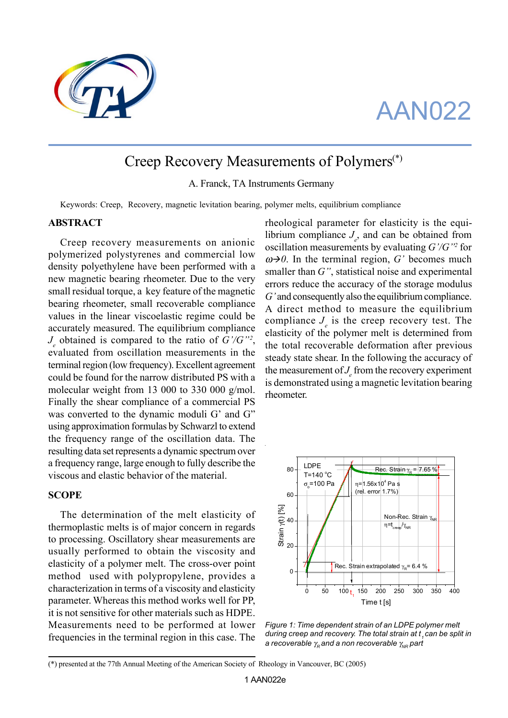

# AAN022

# Creep Recovery Measurements of Polymers(\*)

A. Franck, TA Instruments Germany

Keywords: Creep, Recovery, magnetic levitation bearing, polymer melts, equilibrium compliance

## **ABSTRACT**

Creep recovery measurements on anionic polymerized polystyrenes and commercial low density polyethylene have been performed with a new magnetic bearing rheometer. Due to the very small residual torque, a key feature of the magnetic bearing rheometer, small recoverable compliance values in the linear viscoelastic regime could be accurately measured. The equilibrium compliance  $J_e$  obtained is compared to the ratio of  $G'/G''$ ? evaluated from oscillation measurements in the terminal region (low frequency). Excellent agreement could be found for the narrow distributed PS with a molecular weight from 13 000 to 330 000 g/mol. Finally the shear compliance of a commercial PS was converted to the dynamic moduli G' and G" using approximation formulas by Schwarzl to extend the frequency range of the oscillation data. The resulting data set represents a dynamic spectrum over a frequency range, large enough to fully describe the viscous and elastic behavior of the material.

#### **SCOPE**

The determination of the melt elasticity of thermoplastic melts is of major concern in regards to processing. Oscillatory shear measurements are usually performed to obtain the viscosity and elasticity of a polymer melt. The cross-over point method used with polypropylene, provides a characterization in terms of a viscosity and elasticity parameter. Whereas this method works well for PP, it is not sensitive for other materials such as HDPE. Measurements need to be performed at lower frequencies in the terminal region in this case. The

rheological parameter for elasticity is the equilibrium compliance  $J_e$ , and can be obtained from oscillation measurements by evaluating *G'/G"2* for  $\omega \rightarrow 0$ . In the terminal region, *G'* becomes much smaller than *G"*, statistical noise and experimental errors reduce the accuracy of the storage modulus *G'* and consequently also the equilibrium compliance. A direct method to measure the equilibrium compliance  $J_e$  is the creep recovery test. The elasticity of the polymer melt is determined from the total recoverable deformation after previous steady state shear. In the following the accuracy of the measurement of  $J_e$  from the recovery experiment is demonstrated using a magnetic levitation bearing rheometer.



*Figure 1: Time dependent strain of an LDPE polymer melt during creep and recovery. The total strain at t, can be split in a recoverable γ<sub>ρ</sub> and a non recoverable γ<sub>NR</sub>* part

<sup>(\*)</sup> presented at the 77th Annual Meeting of the American Society of Rheology in Vancouver, BC (2005)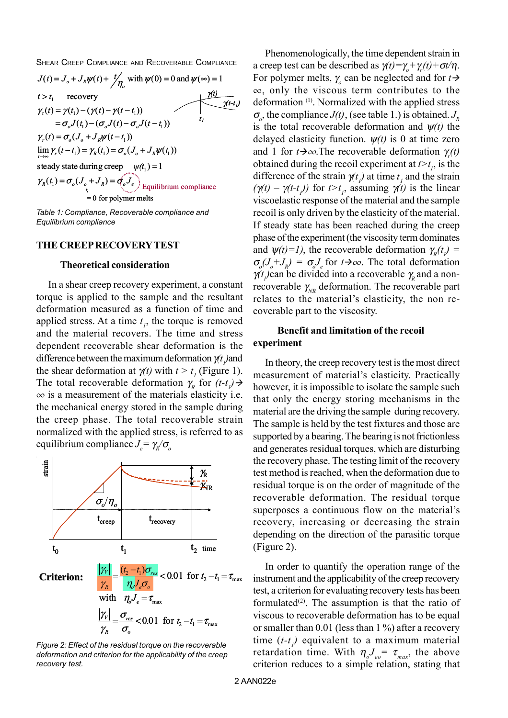SHEAR CREEP COMPLIANCE AND RECOVERABLE COMPLIANCE



*Table 1: Compliance, Recoverable compliance and Equilibrium compliance*

## **THE CREEP RECOVERY TEST**

### **Theoretical consideration**

In a shear creep recovery experiment, a constant torque is applied to the sample and the resultant deformation measured as a function of time and applied stress. At a time  $t<sub>i</sub>$ , the torque is removed and the material recovers. The time and stress dependent recoverable shear deformation is the difference between the maximum deformation  $\gamma$ (*t*<sub>*l*</sub>) and the shear deformation at  $\gamma(t)$  with  $t > t_1$  (Figure 1). The total recoverable deformation  $\gamma_R$  for  $(t-t)$  $\infty$  is a measurement of the materials elasticity i.e. the mechanical energy stored in the sample during the creep phase. The total recoverable strain normalized with the applied stress, is referred to as equilibrium compliance *Je =* γ*R/*<sup>σ</sup>*<sup>o</sup>*



*Figure 2: Effect of the residual torque on the recoverable deformation and criterion for the applicability of the creep recovery test.*

Phenomenologically, the time dependent strain in a creep test can be described as  $\gamma(t) = \gamma_o + \gamma_r(t) + \sigma t/\eta$ . For polymer melts,  $\gamma$  can be neglected and for  $t \rightarrow$  $\infty$ , only the viscous term contributes to the deformation (1). Normalized with the applied stress  $\sigma_{\rho}$ , the compliance *J*(*t*), (see table 1.) is obtained. *J<sub>R</sub>* is the total recoverable deformation and ψ*(t)* the delayed elasticity function.  $\psi(t)$  is 0 at time zero and 1 for  $t \rightarrow \infty$ . The recoverable deformation  $\gamma_r(t)$ obtained during the recoil experiment at  $t > t<sub>1</sub>$ , is the difference of the strain  $\gamma(t)$  at time  $t_1$  and the strain  $(\gamma(t) - \gamma(t-t))$  for  $t > t_1$ , assuming  $\gamma(t)$  is the linear viscoelastic response of the material and the sample recoil is only driven by the elasticity of the material. If steady state has been reached during the creep phase of the experiment (the viscosity term dominates and  $\psi(t)=1$ , the recoverable deformation  $\gamma_R(t)$  =  $\sigma_o(J_o + J_R) = \sigma_o J_e$  for  $t \rightarrow \infty$ . The total deformation  $\gamma(t)$  can be divided into a recoverable  $\gamma$ <sub>*R*</sub> and a nonrecoverable  $\gamma_{NR}$  deformation. The recoverable part relates to the material's elasticity, the non recoverable part to the viscosity.

# **Benefit and limitation of the recoil experiment**

In theory, the creep recovery test is the most direct measurement of material's elasticity. Practically however, it is impossible to isolate the sample such that only the energy storing mechanisms in the material are the driving the sample during recovery. The sample is held by the test fixtures and those are supported by a bearing. The bearing is not frictionless and generates residual torques, which are disturbing the recovery phase. The testing limit of the recovery test method is reached, when the deformation due to residual torque is on the order of magnitude of the recoverable deformation. The residual torque superposes a continuous flow on the material's recovery, increasing or decreasing the strain depending on the direction of the parasitic torque (Figure 2).

In order to quantify the operation range of the instrument and the applicability of the creep recovery test, a criterion for evaluating recovery tests has been formulated<sup> $(2)$ </sup>. The assumption is that the ratio of viscous to recoverable deformation has to be equal or smaller than 0.01 (less than 1 %) after a recovery time  $(t-t)$  equivalent to a maximum material retardation time. With  $\eta_o J_{eo} = \tau_{max}$ , the above criterion reduces to a simple relation, stating that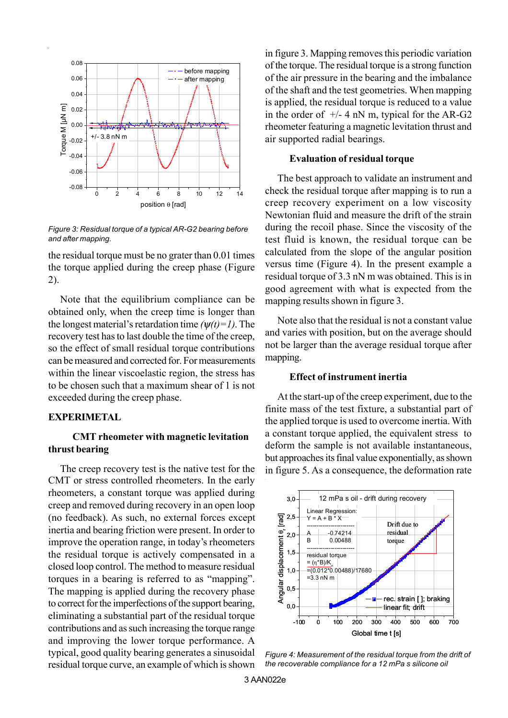

*Figure 3: Residual torque of a typical AR-G2 bearing before and after mapping.*

the residual torque must be no grater than 0.01 times the torque applied during the creep phase (Figure 2).

Note that the equilibrium compliance can be obtained only, when the creep time is longer than the longest material's retardation time  $(\psi(t)=1)$ . The recovery test has to last double the time of the creep, so the effect of small residual torque contributions can be measured and corrected for. For measurements within the linear viscoelastic region, the stress has to be chosen such that a maximum shear of 1 is not exceeded during the creep phase.

# **EXPERIMETAL**

# **CMT rheometer with magnetic levitation thrust bearing**

The creep recovery test is the native test for the CMT or stress controlled rheometers. In the early rheometers, a constant torque was applied during creep and removed during recovery in an open loop (no feedback). As such, no external forces except inertia and bearing friction were present. In order to improve the operation range, in today's rheometers the residual torque is actively compensated in a closed loop control. The method to measure residual torques in a bearing is referred to as "mapping". The mapping is applied during the recovery phase to correct for the imperfections of the support bearing, eliminating a substantial part of the residual torque contributions and as such increasing the torque range and improving the lower torque performance. A typical, good quality bearing generates a sinusoidal residual torque curve, an example of which is shown

in figure 3. Mapping removes this periodic variation of the torque. The residual torque is a strong function of the air pressure in the bearing and the imbalance of the shaft and the test geometries. When mapping is applied, the residual torque is reduced to a value in the order of  $+/-$  4 nN m, typical for the AR-G2 rheometer featuring a magnetic levitation thrust and air supported radial bearings.

## **Evaluation of residual torque**

The best approach to validate an instrument and check the residual torque after mapping is to run a creep recovery experiment on a low viscosity Newtonian fluid and measure the drift of the strain during the recoil phase. Since the viscosity of the test fluid is known, the residual torque can be calculated from the slope of the angular position versus time (Figure 4). In the present example a residual torque of 3.3 nN m was obtained. This is in good agreement with what is expected from the mapping results shown in figure 3.

Note also that the residual is not a constant value and varies with position, but on the average should not be larger than the average residual torque after mapping.

#### **Effect of instrument inertia**

At the start-up of the creep experiment, due to the finite mass of the test fixture, a substantial part of the applied torque is used to overcome inertia. With a constant torque applied, the equivalent stress to deform the sample is not available instantaneous, but approaches its final value exponentially, as shown in figure 5. As a consequence, the deformation rate



*Figure 4: Measurement of the residual torque from the drift of the recoverable compliance for a 12 mPa s silicone oil*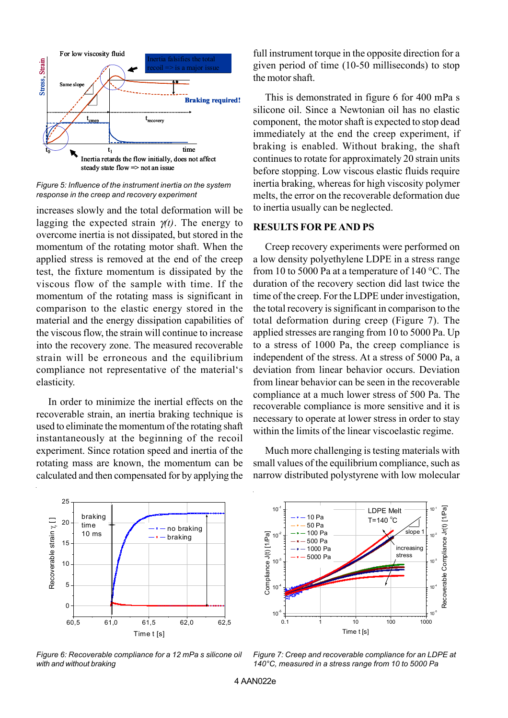

*Figure 5: Influence of the instrument inertia on the system response in the creep and recovery experiment*

increases slowly and the total deformation will be lagging the expected strain γ*(t)*. The energy to overcome inertia is not dissipated, but stored in the momentum of the rotating motor shaft. When the applied stress is removed at the end of the creep test, the fixture momentum is dissipated by the viscous flow of the sample with time. If the momentum of the rotating mass is significant in comparison to the elastic energy stored in the material and the energy dissipation capabilities of the viscous flow, the strain will continue to increase into the recovery zone. The measured recoverable strain will be erroneous and the equilibrium compliance not representative of the material's elasticity.

In order to minimize the inertial effects on the recoverable strain, an inertia braking technique is used to eliminate the momentum of the rotating shaft instantaneously at the beginning of the recoil experiment. Since rotation speed and inertia of the rotating mass are known, the momentum can be calculated and then compensated for by applying the

full instrument torque in the opposite direction for a given period of time (10-50 milliseconds) to stop the motor shaft.

This is demonstrated in figure 6 for 400 mPa s silicone oil. Since a Newtonian oil has no elastic component, the motor shaft is expected to stop dead immediately at the end the creep experiment, if braking is enabled. Without braking, the shaft continues to rotate for approximately 20 strain units before stopping. Low viscous elastic fluids require inertia braking, whereas for high viscosity polymer melts, the error on the recoverable deformation due to inertia usually can be neglected.

## **RESULTS FOR PE AND PS**

Creep recovery experiments were performed on a low density polyethylene LDPE in a stress range from 10 to 5000 Pa at a temperature of 140 °C. The duration of the recovery section did last twice the time of the creep. For the LDPE under investigation, the total recovery is significant in comparison to the total deformation during creep (Figure 7). The applied stresses are ranging from 10 to 5000 Pa. Up to a stress of 1000 Pa, the creep compliance is independent of the stress. At a stress of 5000 Pa, a deviation from linear behavior occurs. Deviation from linear behavior can be seen in the recoverable compliance at a much lower stress of 500 Pa. The recoverable compliance is more sensitive and it is necessary to operate at lower stress in order to stay within the limits of the linear viscoelastic regime.

Much more challenging is testing materials with small values of the equilibrium compliance, such as narrow distributed polystyrene with low molecular



*Figure 6: Recoverable compliance for a 12 mPa s silicone oil with and without braking*



*Figure 7: Creep and recoverable compliance for an LDPE at 140°C, measured in a stress range from 10 to 5000 Pa*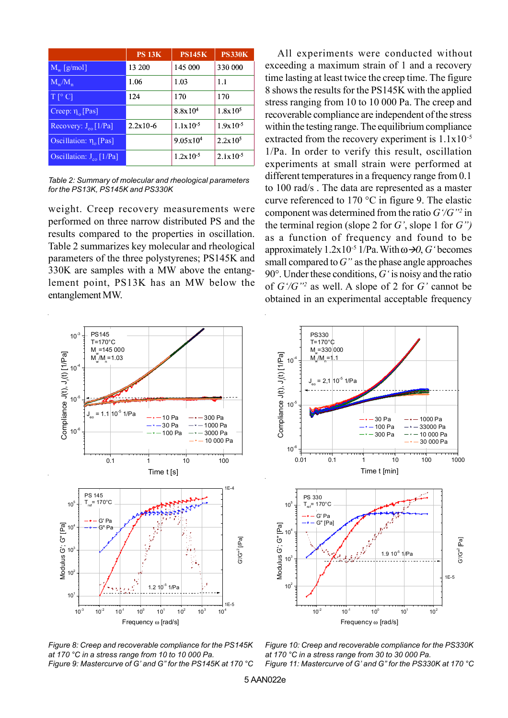|                                     | <b>PS 13K</b> | <b>PS145K</b>        | <b>PS330K</b> |
|-------------------------------------|---------------|----------------------|---------------|
| $M_{\rm w}$ [g/mol]                 | 13 200        | 145 000              | 330 000       |
| $M_w/M_n$                           | 1.06          | 1.03                 | 1.1           |
| $T[^{\circ}C]$                      | 124           | 170                  | 170           |
| Creep: $\eta_0$ [Pas]               |               | 8.8x10 <sup>4</sup>  | $1.8x10^5$    |
| Recovery: $J_{\text{eo}}$ [1/Pa]    | $2.2x10-6$    | $1.1x10^{-5}$        | $1.9x10^{-5}$ |
| Oscillation: $\eta_{\alpha}$ [Pas]  |               | $9.05 \times 10^{4}$ | $2.2x10^5$    |
| Oscillation: $J_{\text{eq}}$ [1/Pa] |               | $1.2x10^{-5}$        | $2.1x10^{-5}$ |

*Table 2: Summary of molecular and rheological parameters for the PS13K, PS145K and PS330K*

weight. Creep recovery measurements were performed on three narrow distributed PS and the results compared to the properties in oscillation. Table 2 summarizes key molecular and rheological parameters of the three polystyrenes; PS145K and 330K are samples with a MW above the entanglement point, PS13K has an MW below the entanglement MW.

All experiments were conducted without exceeding a maximum strain of 1 and a recovery time lasting at least twice the creep time. The figure 8 shows the results for the PS145K with the applied stress ranging from 10 to 10 000 Pa. The creep and recoverable compliance are independent of the stress within the testing range. The equilibrium compliance extracted from the recovery experiment is  $1.1x10^{-5}$ 1/Pa. In order to verify this result, oscillation experiments at small strain were performed at different temperatures in a frequency range from 0.1 to 100 rad/s . The data are represented as a master curve referenced to 170 °C in figure 9. The elastic component was determined from the ratio *G'/G"2* in the terminal region (slope 2 for *G'*, slope 1 for *G")* as a function of frequency and found to be approximately  $1.2x10^{-5}$  1/Pa. With  $\omega \rightarrow 0$ , *G* 'becomes small compared to *G"* as the phase angle approaches 90°. Under these conditions, *G'* is noisy and the ratio of *G'/G"2* as well. A slope of 2 for *G'* cannot be obtained in an experimental acceptable frequency





*Figure 8: Creep and recoverable compliance for the PS145K at 170 °C in a stress range from 10 to 10 000 Pa. Figure 9: Mastercurve of G' and G" for the PS145K at 170 °C*

*Figure 10: Creep and recoverable compliance for the PS330K at 170 °C in a stress range from 30 to 30 000 Pa. Figure 11: Mastercurve of G' and G" for the PS330K at 170 °C*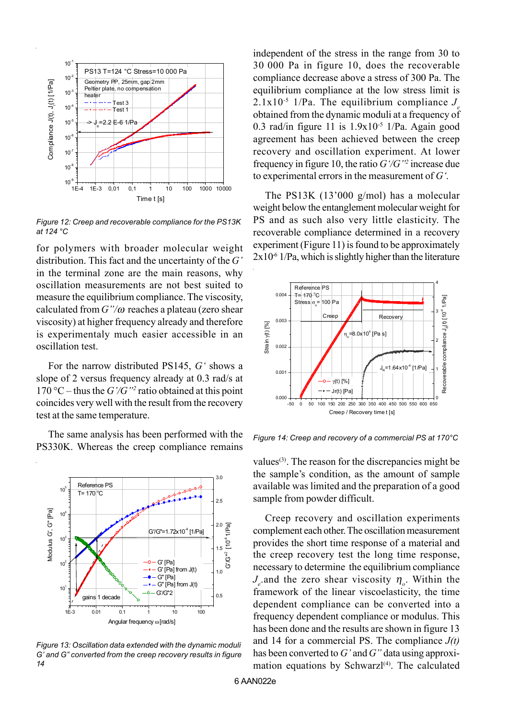

*Figure 12: Creep and recoverable compliance for the PS13K at 124 °C*

for polymers with broader molecular weight distribution. This fact and the uncertainty of the *G'* in the terminal zone are the main reasons, why oscillation measurements are not best suited to measure the equilibrium compliance. The viscosity, calculated from *G"/*ω reaches a plateau (zero shear viscosity) at higher frequency already and therefore is experimentaly much easier accessible in an oscillation test.

For the narrow distributed PS145, *G'* shows a slope of 2 versus frequency already at 0.3 rad/s at 170 °C – thus the  $G'/G''$  ratio obtained at this point coincides very well with the result from the recovery test at the same temperature.

The same analysis has been performed with the PS330K. Whereas the creep compliance remains



*Figure 13: Oscillation data extended with the dynamic moduli G' and G" converted from the creep recovery results in figure 14*

independent of the stress in the range from 30 to 30'000 Pa in figure 10, does the recoverable compliance decrease above a stress of 300 Pa. The equilibrium compliance at the low stress limit is  $2.1x10^{-5}$  1/Pa. The equilibrium compliance  $J<sub>s</sub>$ obtained from the dynamic moduli at a frequency of 0.3 rad/in figure 11 is  $1.9x10^{-5}$  1/Pa. Again good agreement has been achieved between the creep recovery and oscillation experiment. At lower frequency in figure 10, the ratio *G'/G"2* increase due to experimental errors in the measurement of *G'*.

The PS13K (13'000 g/mol) has a molecular weight below the entanglement molecular weight for PS and as such also very little elasticity. The recoverable compliance determined in a recovery experiment (Figure 11) is found to be approximately  $2x10<sup>-6</sup>1/Pa$ , which is slightly higher than the literature



*Figure 14: Creep and recovery of a commercial PS at 170°C*

values $(3)$ . The reason for the discrepancies might be the sample's condition, as the amount of sample available was limited and the preparation of a good sample from powder difficult.

Creep recovery and oscillation experiments complement each other. The oscillation measurement provides the short time response of a material and the creep recovery test the long time response, necessary to determine the equilibrium compliance  $J_e$  and the zero shear viscosity  $\eta_o$ . Within the framework of the linear viscoelasticity, the time dependent compliance can be converted into a frequency dependent compliance or modulus. This has been done and the results are shown in figure 13 and 14 for a commercial PS. The compliance *J(t)* has been converted to *G'* and *G"* data using approximation equations by Schwarz $I^{(4)}$ . The calculated